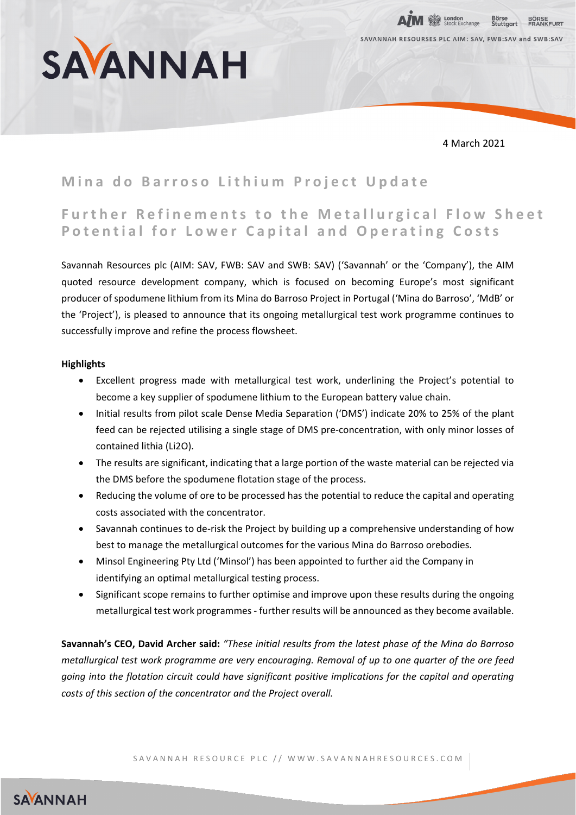

4 March 2021

**Ex London**<br>Ex Stock Exchange SAVANNAH RESOURSES PLC AIM: SAV, FWB:SAV and SWB:SAV

# **Mina do Barroso Lithium Project Update**

## **Further Refinements to the Metallurgical Flow Sheet Potential for Lower Capital and Operating Costs**

Savannah Resources plc (AIM: SAV, FWB: SAV and SWB: SAV) ('Savannah' or the 'Company'), the AIM quoted resource development company, which is focused on becoming Europe's most significant producer of spodumene lithium from its Mina do Barroso Project in Portugal ('Mina do Barroso', 'MdB' or the 'Project'), is pleased to announce that its ongoing metallurgical test work programme continues to successfully improve and refine the process flowsheet.

### **Highlights**

- Excellent progress made with metallurgical test work, underlining the Project's potential to become a key supplier of spodumene lithium to the European battery value chain.
- Initial results from pilot scale Dense Media Separation ('DMS') indicate 20% to 25% of the plant feed can be rejected utilising a single stage of DMS pre-concentration, with only minor losses of contained lithia (Li2O).
- The results are significant, indicating that a large portion of the waste material can be rejected via the DMS before the spodumene flotation stage of the process.
- Reducing the volume of ore to be processed has the potential to reduce the capital and operating costs associated with the concentrator.
- Savannah continues to de-risk the Project by building up a comprehensive understanding of how best to manage the metallurgical outcomes for the various Mina do Barroso orebodies.
- Minsol Engineering Pty Ltd ('Minsol') has been appointed to further aid the Company in identifying an optimal metallurgical testing process.
- Significant scope remains to further optimise and improve upon these results during the ongoing metallurgical test work programmes - further results will be announced as they become available.

**Savannah's CEO, David Archer said:** *"These initial results from the latest phase of the Mina do Barroso metallurgical test work programme are very encouraging. Removal of up to one quarter of the ore feed going into the flotation circuit could have significant positive implications for the capital and operating costs of this section of the concentrator and the Project overall.*

SAYANNAH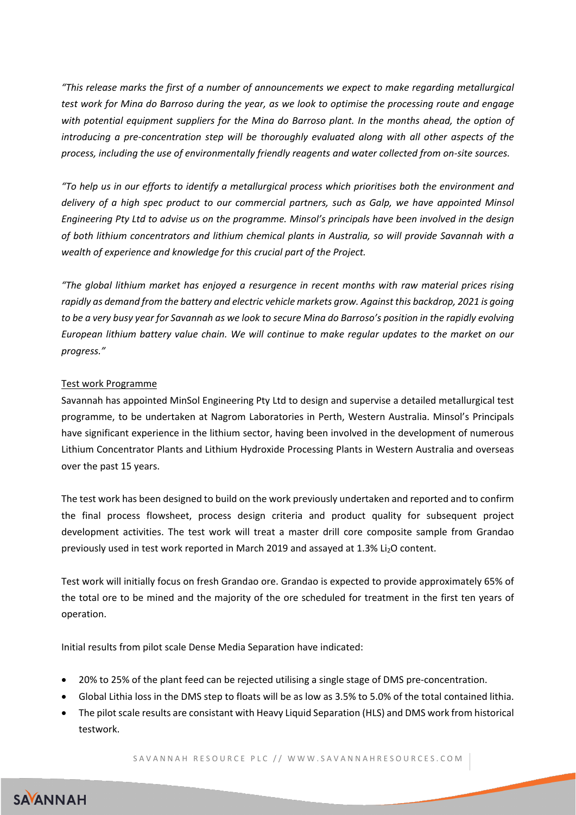*"This release marks the first of a number of announcements we expect to make regarding metallurgical test work for Mina do Barroso during the year, as we look to optimise the processing route and engage with potential equipment suppliers for the Mina do Barroso plant. In the months ahead, the option of introducing a pre-concentration step will be thoroughly evaluated along with all other aspects of the process, including the use of environmentally friendly reagents and water collected from on-site sources.*

*"To help us in our efforts to identify a metallurgical process which prioritises both the environment and delivery of a high spec product to our commercial partners, such as Galp, we have appointed Minsol Engineering Pty Ltd to advise us on the programme. Minsol's principals have been involved in the design of both lithium concentrators and lithium chemical plants in Australia, so will provide Savannah with a wealth of experience and knowledge for this crucial part of the Project.*

*"The global lithium market has enjoyed a resurgence in recent months with raw material prices rising rapidly as demand from the battery and electric vehicle markets grow. Against this backdrop, 2021 is going to be a very busy year for Savannah as we look to secure Mina do Barroso's position in the rapidly evolving European lithium battery value chain. We will continue to make regular updates to the market on our progress."*

### Test work Programme

Savannah has appointed MinSol Engineering Pty Ltd to design and supervise a detailed metallurgical test programme, to be undertaken at Nagrom Laboratories in Perth, Western Australia. Minsol's Principals have significant experience in the lithium sector, having been involved in the development of numerous Lithium Concentrator Plants and Lithium Hydroxide Processing Plants in Western Australia and overseas over the past 15 years.

The test work has been designed to build on the work previously undertaken and reported and to confirm the final process flowsheet, process design criteria and product quality for subsequent project development activities. The test work will treat a master drill core composite sample from Grandao previously used in test work reported in March 2019 and assayed at 1.3% Li<sub>2</sub>O content.

Test work will initially focus on fresh Grandao ore. Grandao is expected to provide approximately 65% of the total ore to be mined and the majority of the ore scheduled for treatment in the first ten years of operation.

Initial results from pilot scale Dense Media Separation have indicated:

- 20% to 25% of the plant feed can be rejected utilising a single stage of DMS pre-concentration.
- Global Lithia loss in the DMS step to floats will be as low as 3.5% to 5.0% of the total contained lithia.
- The pilot scale results are consistant with Heavy Liquid Separation (HLS) and DMS work from historical testwork.

SAVANNAH RESOURCE PLC // WWW.SAVANNAHRESOURCES.COM

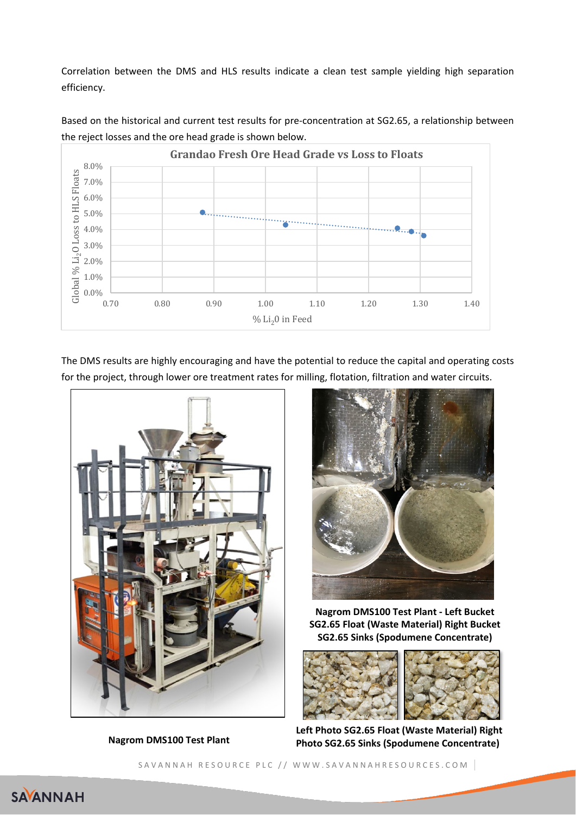Correlation between the DMS and HLS results indicate a clean test sample yielding high separation efficiency.



Based on the historical and current test results for pre-concentration at SG2.65, a relationship between the reject losses and the ore head grade is shown below.

The DMS results are highly encouraging and have the potential to reduce the capital and operating costs for the project, through lower ore treatment rates for milling, flotation, filtration and water circuits.



**Nagrom DMS100 Test Plant**



**Nagrom DMS100 Test Plant - Left Bucket SG2.65 Float (Waste Material) Right Bucket SG2.65 Sinks (Spodumene Concentrate)**



**Left Photo SG2.65 Float (Waste Material) Right Photo SG2.65 Sinks (Spodumene Concentrate)**

SAVANNAH RESOURCE PLC // WWW.SAVANNAHRESOURCES.COM

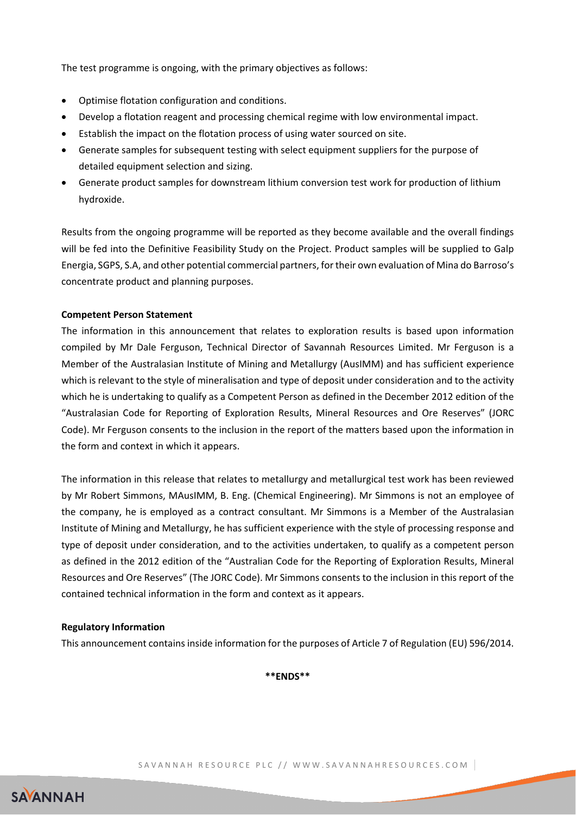The test programme is ongoing, with the primary objectives as follows:

- Optimise flotation configuration and conditions.
- Develop a flotation reagent and processing chemical regime with low environmental impact.
- Establish the impact on the flotation process of using water sourced on site.
- Generate samples for subsequent testing with select equipment suppliers for the purpose of detailed equipment selection and sizing.
- Generate product samples for downstream lithium conversion test work for production of lithium hydroxide.

Results from the ongoing programme will be reported as they become available and the overall findings will be fed into the Definitive Feasibility Study on the Project. Product samples will be supplied to Galp Energia, SGPS, S.A, and other potential commercial partners, for their own evaluation of Mina do Barroso's concentrate product and planning purposes.

### **Competent Person Statement**

The information in this announcement that relates to exploration results is based upon information compiled by Mr Dale Ferguson, Technical Director of Savannah Resources Limited. Mr Ferguson is a Member of the Australasian Institute of Mining and Metallurgy (AusIMM) and has sufficient experience which is relevant to the style of mineralisation and type of deposit under consideration and to the activity which he is undertaking to qualify as a Competent Person as defined in the December 2012 edition of the "Australasian Code for Reporting of Exploration Results, Mineral Resources and Ore Reserves" (JORC Code). Mr Ferguson consents to the inclusion in the report of the matters based upon the information in the form and context in which it appears.

The information in this release that relates to metallurgy and metallurgical test work has been reviewed by Mr Robert Simmons, MAusIMM, B. Eng. (Chemical Engineering). Mr Simmons is not an employee of the company, he is employed as a contract consultant. Mr Simmons is a Member of the Australasian Institute of Mining and Metallurgy, he has sufficient experience with the style of processing response and type of deposit under consideration, and to the activities undertaken, to qualify as a competent person as defined in the 2012 edition of the "Australian Code for the Reporting of Exploration Results, Mineral Resources and Ore Reserves" (The JORC Code). Mr Simmons consents to the inclusion in this report of the contained technical information in the form and context as it appears.

#### **Regulatory Information**

This announcement contains inside information for the purposes of Article 7 of Regulation (EU) 596/2014.

**\*\*ENDS\*\***